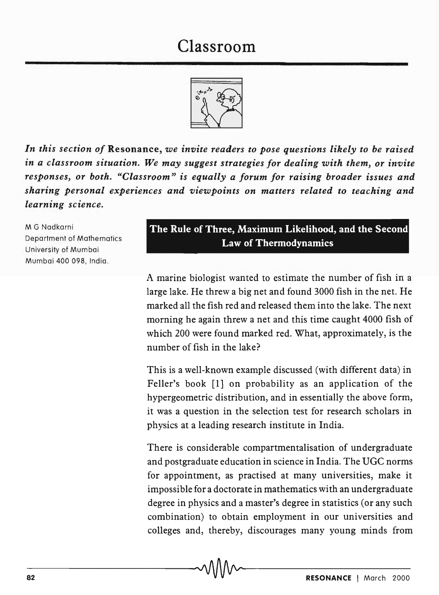## Classroom



*In this section of* Resonance, *we invite readers to pose questions likely to be raised in a classroom situation. We may suggest strategies for dealing with them,* or *invite responses,* or *both. "Classroom" is equally a forum for raising broader issues and sharing personal experiences and viewpoints on matters related to teaching and learning science.* 

M G Nadkarni Department of Mathematics University of Mumbai Mumbai 400 098, India.

## The Rule of Three, Maximum Likelihood, and the Second Law of Thermodynamics

A marine biologist wanted to estimate the number of fish in a large lake. He threw a big net and found 3000 fish in the net. He marked all the fish red and released them into the lake. The next morning he again threw a net and this time caught 4000 fish of which 200 were found marked red. What, approximately, is the number of fish in the lake?

This is a well-known example discussed (with different data) in Feller's book [1] on probability as an application of the hypergeometric distribution, and in essentially the above form, it was a question in the selection test for research scholars in physics at a leading research institute in India.

There is considerable compartmentalisation of undergraduate and postgraduate education in science in India. The UGC norms for appointment, as practised at many universities, make it impossible for a doctorate in mathematics with an undergraduate degree in physics and a master's degree in statistics (or any such combination) to obtain employment in our universities and colleges and, thereby, discourages many young minds from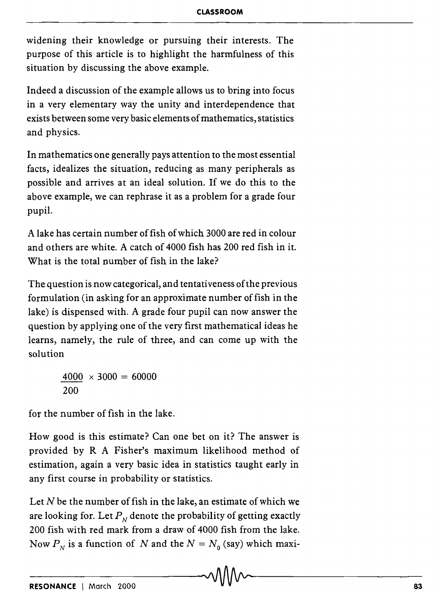widening their knowledge or pursuing their interests. The purpose of this article is to highlight the harmfulness of this situation by discussing the above example.

Indeed a discussion of the example allows us to bring into focus in a very elementary way the unity and interdependence that exists between some very basic elements of mathematics, statistics and physics.

In mathematics one generally pays attention to the most essential facts, idealizes the situation, reducing as many peripherals as possible and arrives at an ideal solution. If we do this to the above example, we can rephrase it as a problem for a grade four pupil.

A lake has certain number of fish of which 3000 are red in colour and others are white. A catch of 4000 fish has 200 red fish in it. What is the total number of fish in the lake?

The question is now categorical, and tentativeness of the previous formulation (in asking for an approximate number of fish in the lake) is dispensed with. A grade four pupil can now answer the question by applying one of the very first mathematical ideas he learns, namely, the rule of three, and can come up with the solution

> $4000 \times 3000 = 60000$ 200

for the number of fish in the lake.

How good is this estimate? Can one bet on it? The answer is provided by R A Fisher's maximum likelihood method of estimation, again a very basic idea in statistics taught early in any first course in probability or statistics.

Let  $N$  be the number of fish in the lake, an estimate of which we are looking for. Let  $P<sub>N</sub>$  denote the probability of getting exactly 200 fish with red mark from a draw of 4000 fish from the lake. Now  $P_N$  is a function of *N* and the  $N = N_0$  (say) which maxi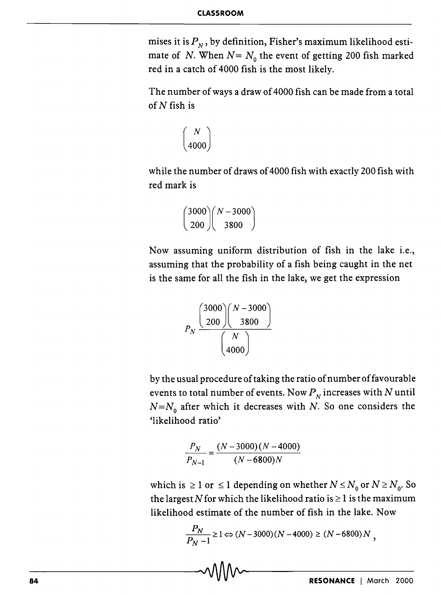mises it is  $P<sub>N</sub>$ , by definition, Fisher's maximum likelihood estimate of *N*. When  $N = N_0$  the event of getting 200 fish marked red in a catch of 4000 fish is the most likely.

The number of ways a draw of 4000 fish can be made from a total of *N* fish is

$$
\binom{N}{4000}
$$

while the number of draws of 4000 fish with exactly 200 fish with red mark is

$$
\binom{3000}{200}\binom{N-3000}{3800}
$$

Now assuming uniform distribution of fish in the lake i.e., assuming that the probability of a fish being caught in the net is the same for all the fish in the lake, we get the expression

$$
P_N \frac{\binom{3000}{200} \binom{N-3000}{3800}}{\binom{N}{4000}}
$$

by the usual procedure of taking the ratio of number of favourable events to total number of events. Now  $P<sub>N</sub>$  increases with *N* until  $N=N_0$  after which it decreases with *N*. So one considers the 'likelihood ratio'

$$
\frac{P_N}{P_{N-1}} = \frac{(N-3000)(N-4000)}{(N-6800)N}
$$

which is  $\geq 1$  or  $\leq 1$  depending on whether  $N \leq N_0$  or  $N \geq N_0$ . So the largest N for which the likelihood ratio is  $\geq 1$  is the maximum likelihood estimate of the number of fish in the lake. Now

$$
\frac{P_N}{P_N - 1} \ge 1 \Leftrightarrow (N - 3000)(N - 4000) \ge (N - 6800)N,
$$